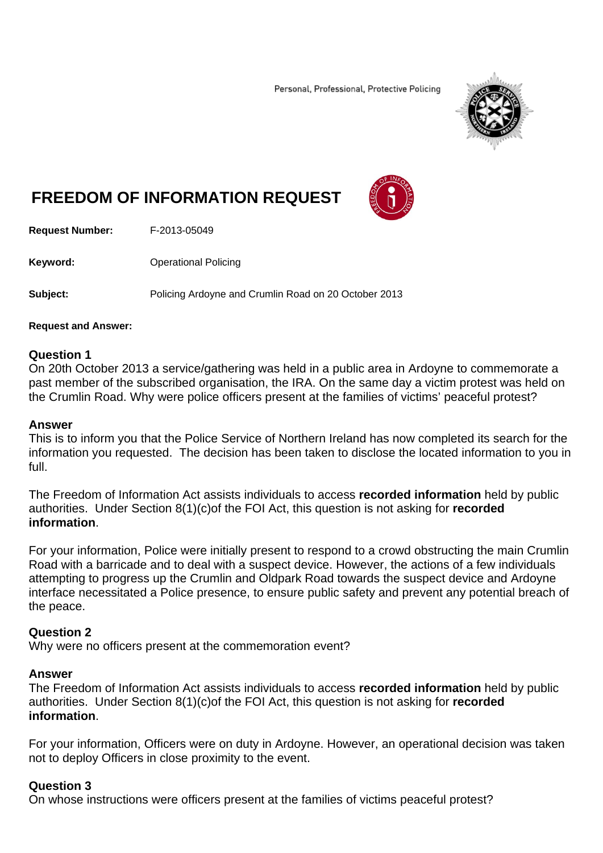Personal, Professional, Protective Policing



# **FREEDOM OF INFORMATION REQUEST**



**Request Number:** F-2013-05049

**Keyword: C**Derational Policing

**Subject:** Policing Ardoyne and Crumlin Road on 20 October 2013

#### **Request and Answer:**

#### **Question 1**

On 20th October 2013 a service/gathering was held in a public area in Ardoyne to commemorate a past member of the subscribed organisation, the IRA. On the same day a victim protest was held on the Crumlin Road. Why were police officers present at the families of victims' peaceful protest?

#### **Answer**

This is to inform you that the Police Service of Northern Ireland has now completed its search for the information you requested. The decision has been taken to disclose the located information to you in full.

The Freedom of Information Act assists individuals to access **recorded information** held by public authorities. Under Section 8(1)(c)of the FOI Act, this question is not asking for **recorded information**.

For your information, Police were initially present to respond to a crowd obstructing the main Crumlin Road with a barricade and to deal with a suspect device. However, the actions of a few individuals attempting to progress up the Crumlin and Oldpark Road towards the suspect device and Ardoyne interface necessitated a Police presence, to ensure public safety and prevent any potential breach of the peace.

## **Question 2**

Why were no officers present at the commemoration event?

#### **Answer**

The Freedom of Information Act assists individuals to access **recorded information** held by public authorities. Under Section 8(1)(c)of the FOI Act, this question is not asking for **recorded information**.

For your information, Officers were on duty in Ardoyne. However, an operational decision was taken not to deploy Officers in close proximity to the event.

## **Question 3**

On whose instructions were officers present at the families of victims peaceful protest?